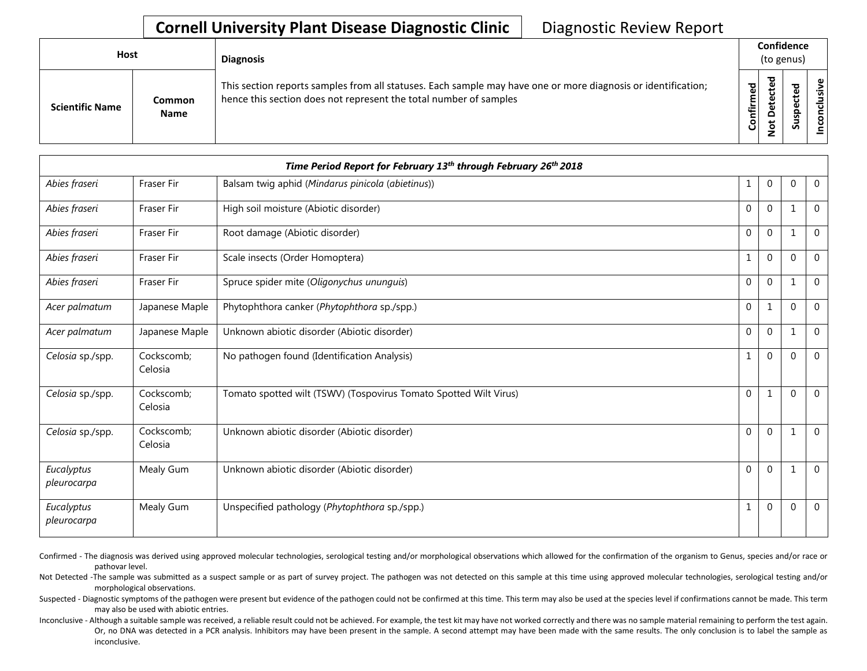## **Cornell University Plant Disease Diagnostic Clinic** | Diagnostic Review Report

| <b>Host</b>            |                       | <b>Diagnosis</b>                                                                                                                                                                   |           | Confidence<br>(to genus) |        |                      |  |  |
|------------------------|-----------------------|------------------------------------------------------------------------------------------------------------------------------------------------------------------------------------|-----------|--------------------------|--------|----------------------|--|--|
| <b>Scientific Name</b> | Common<br><b>Name</b> | This section reports samples from all statuses. Each sample may have one or more diagnosis or identification;<br>hence this section does not represent the total number of samples | Confirmed | ᇃ<br>≏<br>سە             | š<br>n | usive<br>ಕ<br>⊂<br>g |  |  |

| Time Period Report for February 13th through February 26th 2018 |                       |                                                                   |              |                |          |                |  |
|-----------------------------------------------------------------|-----------------------|-------------------------------------------------------------------|--------------|----------------|----------|----------------|--|
| Abies fraseri                                                   | <b>Fraser Fir</b>     | Balsam twig aphid (Mindarus pinicola (abietinus))                 | 1            | $\mathbf{0}$   | $\Omega$ | $\mathbf 0$    |  |
| Abies fraseri                                                   | Fraser Fir            | High soil moisture (Abiotic disorder)                             | $\mathbf 0$  | $\mathbf{0}$   |          | $\mathbf 0$    |  |
| Abies fraseri                                                   | <b>Fraser Fir</b>     | Root damage (Abiotic disorder)                                    | $\mathbf{0}$ | $\mathbf{0}$   |          | $\mathbf{0}$   |  |
| Abies fraseri                                                   | <b>Fraser Fir</b>     | Scale insects (Order Homoptera)                                   | 1            | $\mathbf{0}$   | $\Omega$ | $\mathbf 0$    |  |
| Abies fraseri                                                   | Fraser Fir            | Spruce spider mite (Oligonychus ununguis)                         | $\Omega$     | $\Omega$       | 1        | $\Omega$       |  |
| Acer palmatum                                                   | Japanese Maple        | Phytophthora canker (Phytophthora sp./spp.)                       | $\mathbf 0$  | 1              | $\Omega$ | $\overline{0}$ |  |
| Acer palmatum                                                   | Japanese Maple        | Unknown abiotic disorder (Abiotic disorder)                       | $\mathbf{0}$ | $\overline{0}$ | 1        | $\overline{0}$ |  |
| Celosia sp./spp.                                                | Cockscomb:<br>Celosia | No pathogen found (Identification Analysis)                       | 1            | $\mathbf{0}$   | $\Omega$ | $\Omega$       |  |
| Celosia sp./spp.                                                | Cockscomb;<br>Celosia | Tomato spotted wilt (TSWV) (Tospovirus Tomato Spotted Wilt Virus) | $\mathbf{0}$ | 1              | $\Omega$ | $\mathbf 0$    |  |
| Celosia sp./spp.                                                | Cockscomb;<br>Celosia | Unknown abiotic disorder (Abiotic disorder)                       | $\mathbf{0}$ | $\mathbf{0}$   |          | $\overline{0}$ |  |
| Eucalyptus<br>pleurocarpa                                       | Mealy Gum             | Unknown abiotic disorder (Abiotic disorder)                       | $\mathbf 0$  | $\mathbf{0}$   |          | $\mathbf 0$    |  |
| Eucalyptus<br>pleurocarpa                                       | Mealy Gum             | Unspecified pathology (Phytophthora sp./spp.)                     | 1            | $\mathbf{0}$   | $\Omega$ | $\overline{0}$ |  |

Confirmed - The diagnosis was derived using approved molecular technologies, serological testing and/or morphological observations which allowed for the confirmation of the organism to Genus, species and/or race or pathovar level.

Not Detected -The sample was submitted as a suspect sample or as part of survey project. The pathogen was not detected on this sample at this time using approved molecular technologies, serological testing and/or morphological observations.

Suspected - Diagnostic symptoms of the pathogen were present but evidence of the pathogen could not be confirmed at this time. This term may also be used at the species level if confirmations cannot be made. This term may also be used with abiotic entries.

Inconclusive - Although a suitable sample was received, a reliable result could not be achieved. For example, the test kit may have not worked correctly and there was no sample material remaining to perform the test again. Or, no DNA was detected in a PCR analysis. Inhibitors may have been present in the sample. A second attempt may have been made with the same results. The only conclusion is to label the sample as inconclusive.